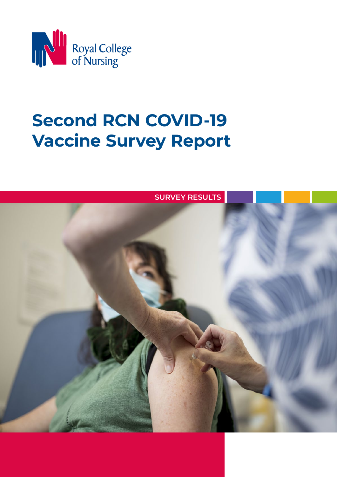

# **Second RCN COVID-19 Vaccine Survey Report**

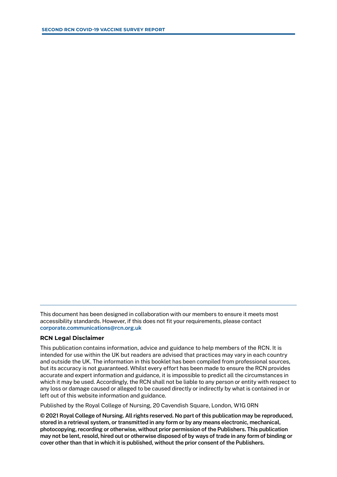This document has been designed in collaboration with our members to ensure it meets most accessibility standards. However, if this does not fit your requirements, please contact **[corporate.communications@rcn.org.uk](mailto:corporate.communications@rcn.org.uk)**

#### **RCN Legal Disclaimer**

This publication contains information, advice and guidance to help members of the RCN. It is intended for use within the UK but readers are advised that practices may vary in each country and outside the UK. The information in this booklet has been compiled from professional sources, but its accuracy is not guaranteed. Whilst every effort has been made to ensure the RCN provides accurate and expert information and guidance, it is impossible to predict all the circumstances in which it may be used. Accordingly, the RCN shall not be liable to any person or entity with respect to any loss or damage caused or alleged to be caused directly or indirectly by what is contained in or left out of this website information and guidance.

Published by the Royal College of Nursing, 20 Cavendish Square, London, W1G 0RN

**© 2021 Royal College of Nursing. All rights reserved. No part of this publication may be reproduced, stored in a retrieval system, or transmitted in any form or by any means electronic, mechanical, photocopying, recording or otherwise, without prior permission of the Publishers. This publication may not be lent, resold, hired out or otherwise disposed of by ways of trade in any form of binding or cover other than that in which it is published, without the prior consent of the Publishers.**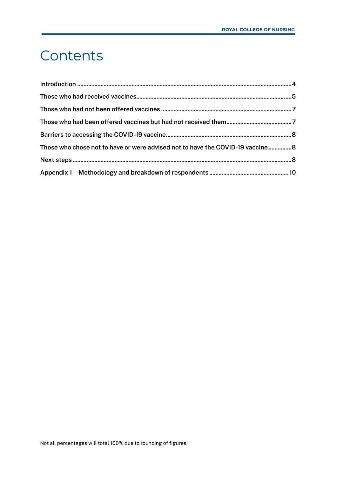## <span id="page-2-0"></span>**Contents**

| Those who chose not to have or were advised not to have the COVID-19 vaccine8 |  |
|-------------------------------------------------------------------------------|--|
|                                                                               |  |
|                                                                               |  |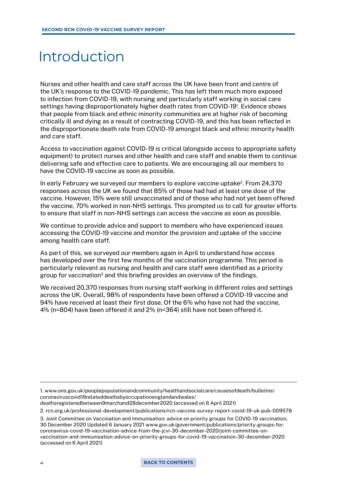## <span id="page-3-0"></span>Introduction

Nurses and other health and care staff across the UK have been front and centre of the UK's response to the COVID-19 pandemic. This has left them much more exposed to infection from COVID-19, with nursing and particularly staff working in social care settings having disproportionately higher death rates from COVID-19<sup>1</sup>. Evidence shows that people from black and ethnic minority communities are at higher risk of becoming critically ill and dying as a result of contracting COVID-19, and this has been reflected in the disproportionate death rate from COVID-19 amongst black and ethnic minority health and care staff.

Access to vaccination against COVID-19 is critical (alongside access to appropriate safety equipment) to protect nurses and other health and care staff and enable them to continue delivering safe and effective care to patients. We are encouraging all our members to have the COVID-19 vaccine as soon as possible.

In early February we surveyed our members to explore vaccine uptake<sup>2</sup>. From 24,370 responses across the UK we found that 85% of those had had at least one dose of the vaccine. However, 15% were still unvaccinated and of those who had not yet been offered the vaccine, 70% worked in non-NHS settings. This prompted us to call for greater efforts to ensure that staff in non-NHS settings can access the vaccine as soon as possible.

We continue to provide advice and support to members who have experienced issues accessing the COVID-19 vaccine and monitor the provision and uptake of the vaccine among health care staff.

As part of this, we surveyed our members again in April to understand how access has developed over the first few months of the vaccination programme. This period is particularly relevant as nursing and health and care staff were identified as a priority group for vaccination<sup>3</sup> and this briefing provides an overview of the findings.

We received 20,370 responses from nursing staff working in different roles and settings across the UK. Overall, 98% of respondents have been offered a COVID-19 vaccine and 94% have received at least their first dose. Of the 6% who have not had the vaccine, 4% (n=804) have been offered it and 2% (n=364) still have not been offered it.

1. [www.ons.gov.uk/peoplepopulationandcommunity/healthandsocialcare/causesofdeath/bulletins/](https://www.ons.gov.uk/peoplepopulationandcommunity/healthandsocialcare/causesofdeath/bulletins/coronaviruscovid19relateddeathsbyoccupationenglandandwales/deathsregisteredbetween9marchand28december2020) [coronaviruscovid19relateddeathsbyoccupationenglandandwales/](https://www.ons.gov.uk/peoplepopulationandcommunity/healthandsocialcare/causesofdeath/bulletins/coronaviruscovid19relateddeathsbyoccupationenglandandwales/deathsregisteredbetween9marchand28december2020) [deathsregisteredbetween9marchand28december2020](https://www.ons.gov.uk/peoplepopulationandcommunity/healthandsocialcare/causesofdeath/bulletins/coronaviruscovid19relateddeathsbyoccupationenglandandwales/deathsregisteredbetween9marchand28december2020) (accessed on 6 April 2021)

2. [rcn.org.uk/professional-development/publications/rcn-vaccine-survey-report-covid-19-uk-pub-009578](https://www.rcn.org.uk/professional-development/publications/rcn-vaccine-survey-report-covid-19-uk-pub-009578)

3. Joint Committee on Vaccination and Immunisation: advice on priority groups for COVID-19 vaccination, 30 December 2020 Updated 6 January 2021 [www.gov.uk/government/publications/priority-groups-for](https://www.gov.uk/government/publications/priority-groups-for-coronavirus-covid-19-vaccination-advice-from-the-jcvi-30-december-2020/joint-committee-on-vaccination-and-immunisation-advice-on-priority-groups-for-covid-19-vaccination-30-december-2020)[coronavirus-covid-19-vaccination-advice-from-the-jcvi-30-december-2020/joint-committee-on](https://www.gov.uk/government/publications/priority-groups-for-coronavirus-covid-19-vaccination-advice-from-the-jcvi-30-december-2020/joint-committee-on-vaccination-and-immunisation-advice-on-priority-groups-for-covid-19-vaccination-30-december-2020)[vaccination-and-immunisation-advice-on-priority-groups-for-covid-19-vaccination-30-december-2020](https://www.gov.uk/government/publications/priority-groups-for-coronavirus-covid-19-vaccination-advice-from-the-jcvi-30-december-2020/joint-committee-on-vaccination-and-immunisation-advice-on-priority-groups-for-covid-19-vaccination-30-december-2020)  (accessed on 6 April 2021)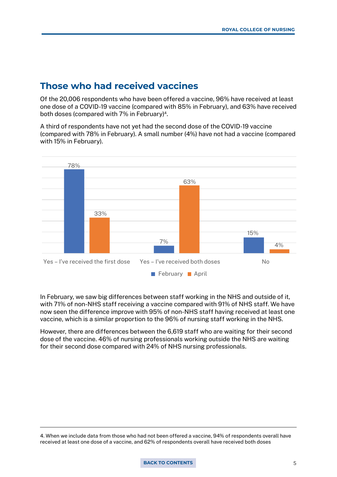## <span id="page-4-0"></span>**Those who had received vaccines**

Of the 20,006 respondents who have been offered a vaccine, 96% have received at least one dose of a COVID-19 vaccine (compared with 85% in February), and 63% have received both doses (compared with 7% in February)<sup>4</sup>.

A third of respondents have not yet had the second dose of the COVID-19 vaccine (compared with 78% in February). A small number (4%) have not had a vaccine (compared with 15% in February).



In February, we saw big differences between staff working in the NHS and outside of it, with 71% of non-NHS staff receiving a vaccine compared with 91% of NHS staff. We have now seen the difference improve with 95% of non-NHS staff having received at least one vaccine, which is a similar proportion to the 96% of nursing staff working in the NHS.

However, there are differences between the 6,619 staff who are waiting for their second dose of the vaccine. 46% of nursing professionals working outside the NHS are waiting for their second dose compared with 24% of NHS nursing professionals.

<sup>4.</sup> When we include data from those who had not been offered a vaccine, 94% of respondents overall have received at least one dose of a vaccine, and 62% of respondents overall have received both doses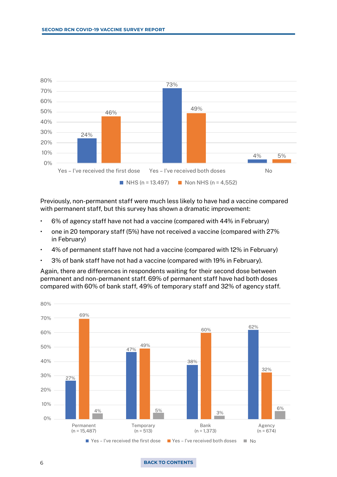<span id="page-5-0"></span>

Previously, non-permanent staff were much less likely to have had a vaccine compared with permanent staff, but this survey has shown a dramatic improvement:

- 6% of agency staff have not had a vaccine (compared with 44% in February)
- one in 20 temporary staff (5%) have not received a vaccine (compared with 27% in February)
- 4% of permanent staff have not had a vaccine (compared with 12% in February)
- 3% of bank staff have not had a vaccine (compared with 19% in February).

Again, there are differences in respondents waiting for their second dose between permanent and non-permanent staff. 69% of permanent staff have had both doses compared with 60% of bank staff, 49% of temporary staff and 32% of agency staff.



#### 6 **[BACK TO CONTENTS](#page-2-0)**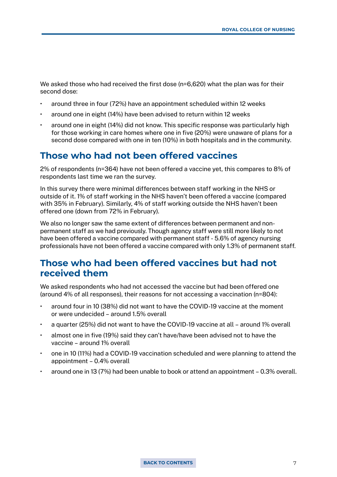<span id="page-6-0"></span>We asked those who had received the first dose (n=6,620) what the plan was for their second dose:

- around three in four (72%) have an appointment scheduled within 12 weeks
- around one in eight (14%) have been advised to return within 12 weeks
- around one in eight (14%) did not know. This specific response was particularly high for those working in care homes where one in five (20%) were unaware of plans for a second dose compared with one in ten (10%) in both hospitals and in the community.

## **Those who had not been offered vaccines**

2% of respondents (n=364) have not been offered a vaccine yet, this compares to 8% of respondents last time we ran the survey.

In this survey there were minimal differences between staff working in the NHS or outside of it. 1% of staff working in the NHS haven't been offered a vaccine (compared with 35% in February). Similarly, 4% of staff working outside the NHS haven't been offered one (down from 72% in February).

We also no longer saw the same extent of differences between permanent and nonpermanent staff as we had previously. Though agency staff were still more likely to not have been offered a vaccine compared with permanent staff - 5.6% of agency nursing professionals have not been offered a vaccine compared with only 1.3% of permanent staff.

## **Those who had been offered vaccines but had not received them**

We asked respondents who had not accessed the vaccine but had been offered one (around 4% of all responses), their reasons for not accessing a vaccination (n=804):

- around four in 10 (38%) did not want to have the COVID-19 vaccine at the moment or were undecided – around 1.5% overall
- a quarter (25%) did not want to have the COVID-19 vaccine at all around 1% overall
- almost one in five (19%) said they can't have/have been advised not to have the vaccine – around 1% overall
- one in 10 (11%) had a COVID-19 vaccination scheduled and were planning to attend the appointment – 0.4% overall
- around one in 13 (7%) had been unable to book or attend an appointment 0.3% overall.

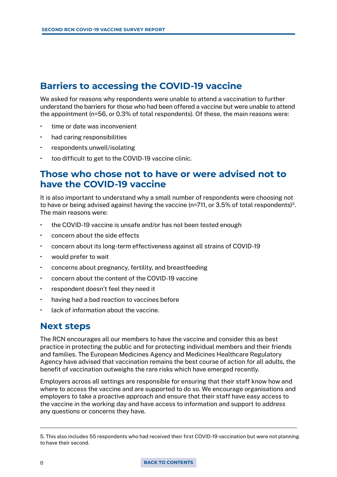## <span id="page-7-0"></span>**Barriers to accessing the COVID-19 vaccine**

We asked for reasons why respondents were unable to attend a vaccination to further understand the barriers for those who had been offered a vaccine but were unable to attend the appointment (n=56, or 0.3% of total respondents). Of these, the main reasons were:

- time or date was inconvenient
- had caring responsibilities
- respondents unwell/isolating
- too difficult to get to the COVID-19 vaccine clinic.

## **Those who chose not to have or were advised not to have the COVID-19 vaccine**

It is also important to understand why a small number of respondents were choosing not to have or being advised against having the vaccine ( $n=711$ , or 3.5% of total respondents)<sup>5</sup>. The main reasons were:

- the COVID-19 vaccine is unsafe and/or has not been tested enough
- concern about the side effects
- concern about its long-term effectiveness against all strains of COVID-19
- would prefer to wait
- concerns about pregnancy, fertility, and breastfeeding
- concern about the content of the COVID-19 vaccine
- respondent doesn't feel they need it
- having had a bad reaction to vaccines before
- lack of information about the vaccine.

## **Next steps**

The RCN encourages all our members to have the vaccine and consider this as best practice in protecting the public and for protecting individual members and their friends and families. The European Medicines Agency and Medicines Healthcare Regulatory Agency have advised that vaccination remains the best course of action for all adults, the benefit of vaccination outweighs the rare risks which have emerged recently.

Employers across all settings are responsible for ensuring that their staff know how and where to access the vaccine and are supported to do so. We encourage organisations and employers to take a proactive approach and ensure that their staff have easy access to the vaccine in the working day and have access to information and support to address any questions or concerns they have.

<sup>5.</sup> This also includes 55 respondents who had received their first COVID-19 vaccination but were not planning to have their second.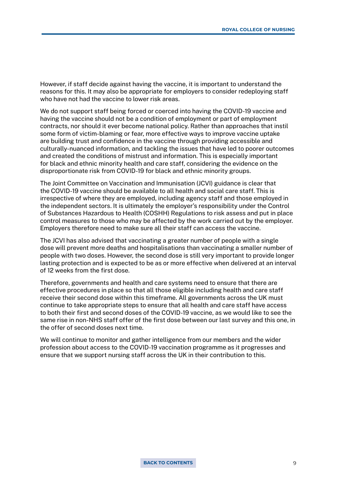<span id="page-8-0"></span>However, if staff decide against having the vaccine, it is important to understand the reasons for this. It may also be appropriate for employers to consider redeploying staff who have not had the vaccine to lower risk areas.

We do not support staff being forced or coerced into having the COVID-19 vaccine and having the vaccine should not be a condition of employment or part of employment contracts, nor should it ever become national policy. Rather than approaches that instil some form of victim-blaming or fear, more effective ways to improve vaccine uptake are building trust and confidence in the vaccine through providing accessible and culturally-nuanced information, and tackling the issues that have led to poorer outcomes and created the conditions of mistrust and information. This is especially important for black and ethnic minority health and care staff, considering the evidence on the disproportionate risk from COVID-19 for black and ethnic minority groups.

The Joint Committee on Vaccination and Immunisation (JCVI) guidance is clear that the COVID-19 vaccine should be available to all health and social care staff. This is irrespective of where they are employed, including agency staff and those employed in the independent sectors. It is ultimately the employer's responsibility under the Control of Substances Hazardous to Health (COSHH) Regulations to risk assess and put in place control measures to those who may be affected by the work carried out by the employer. Employers therefore need to make sure all their staff can access the vaccine.

The JCVI has also advised that vaccinating a greater number of people with a single dose will prevent more deaths and hospitalisations than vaccinating a smaller number of people with two doses. However, the second dose is still very important to provide longer lasting protection and is expected to be as or more effective when delivered at an interval of 12 weeks from the first dose.

Therefore, governments and health and care systems need to ensure that there are effective procedures in place so that all those eligible including health and care staff receive their second dose within this timeframe. All governments across the UK must continue to take appropriate steps to ensure that all health and care staff have access to both their first and second doses of the COVID-19 vaccine, as we would like to see the same rise in non-NHS staff offer of the first dose between our last survey and this one, in the offer of second doses next time.

We will continue to monitor and gather intelligence from our members and the wider profession about access to the COVID-19 vaccination programme as it progresses and ensure that we support nursing staff across the UK in their contribution to this.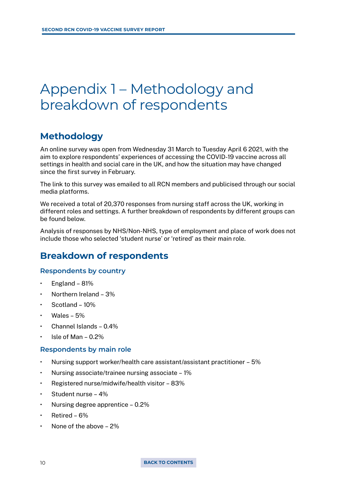## <span id="page-9-0"></span>Appendix 1 – Methodology and breakdown of respondents

## **Methodology**

An online survey was open from Wednesday 31 March to Tuesday April 6 2021, with the aim to explore respondents' experiences of accessing the COVID-19 vaccine across all settings in health and social care in the UK, and how the situation may have changed since the first survey in February.

The link to this survey was emailed to all RCN members and publicised through our social media platforms.

We received a total of 20,370 responses from nursing staff across the UK, working in different roles and settings. A further breakdown of respondents by different groups can be found below.

Analysis of responses by NHS/Non-NHS, type of employment and place of work does not include those who selected 'student nurse' or 'retired' as their main role.

## **Breakdown of respondents**

#### **Respondents by country**

- England 81%
- Northern Ireland 3%
- Scotland 10%
- Wales  $5%$
- Channel Islands 0.4%
- $\cdot$  Isle of Man 0.2%

#### **Respondents by main role**

- Nursing support worker/health care assistant/assistant practitioner 5%
- Nursing associate/trainee nursing associate 1%
- Registered nurse/midwife/health visitor 83%
- Student nurse 4%
- Nursing degree apprentice  $-0.2\%$
- Retired  $6\%$
- None of the above 2%

10 **[BACK TO CONTENTS](#page-2-0)**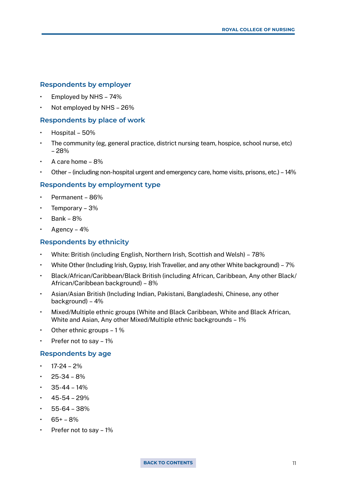#### <span id="page-10-0"></span>**Respondents by employer**

- Employed by NHS 74%
- Not employed by NHS 26%

#### **Respondents by place of work**

- Hospital 50%
- The community (eg, general practice, district nursing team, hospice, school nurse, etc) – 28%
- A care home 8%
- Other (including non-hospital urgent and emergency care, home visits, prisons, etc.) 14%

#### **Respondents by employment type**

- Permanent 86%
- Temporary 3%
- Bank 8%
- Agency  $-4%$

#### **Respondents by ethnicity**

- White: British (including English, Northern Irish, Scottish and Welsh) 78%
- White Other (Including Irish, Gypsy, Irish Traveller, and any other White background) 7%
- Black/African/Caribbean/Black British (including African, Caribbean, Any other Black/ African/Caribbean background) – 8%
- Asian/Asian British (Including Indian, Pakistani, Bangladeshi, Chinese, any other background) – 4%
- Mixed/Multiple ethnic groups (White and Black Caribbean, White and Black African, White and Asian, Any other Mixed/Multiple ethnic backgrounds – 1%
- Other ethnic groups 1 %
- Prefer not to say 1%

#### **Respondents by age**

- $17-24 2%$
- $25-34 8%$
- $35-44 14%$
- $\cdot$  45-54 29%
- $\cdot$  55-64 38%
- $65+ 8%$
- Prefer not to say  $-1\%$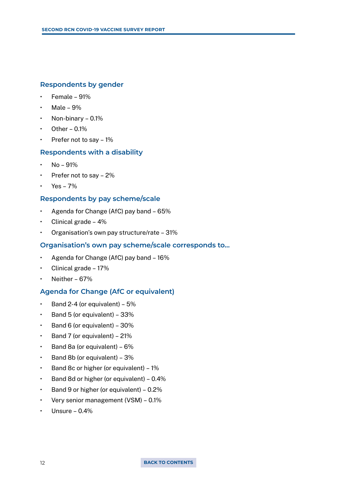#### **Respondents by gender**

- $\cdot$  Female 91%
- Male  $9%$
- Non-binary 0.1%
- Other  $0.1\%$
- Prefer not to say  $-1\%$

#### **Respondents with a disability**

- No 91%
- Prefer not to say 2%
- Yes 7%

#### **Respondents by pay scheme/scale**

- Agenda for Change (AfC) pay band 65%
- Clinical grade 4%
- Organisation's own pay structure/rate 31%

#### **Organisation's own pay scheme/scale corresponds to…**

- Agenda for Change (AfC) pay band 16%
- Clinical grade 17%
- Neither 67%

#### **Agenda for Change (AfC or equivalent)**

- Band 2-4 (or equivalent)  $5\%$
- Band 5 (or equivalent)  $33\%$
- $\cdot$  Band 6 (or equivalent) 30%
- Band 7 (or equivalent) 21%
- Band 8a (or equivalent)  $6\%$
- Band 8b (or equivalent)  $3\%$
- Band 8c or higher (or equivalent) 1%
- Band 8d or higher (or equivalent) 0.4%
- Band 9 or higher (or equivalent)  $-0.2\%$
- Very senior management (VSM) 0.1%
- Unsure  $0.4\%$

#### 12 **[BACK TO CONTENTS](#page-2-0)**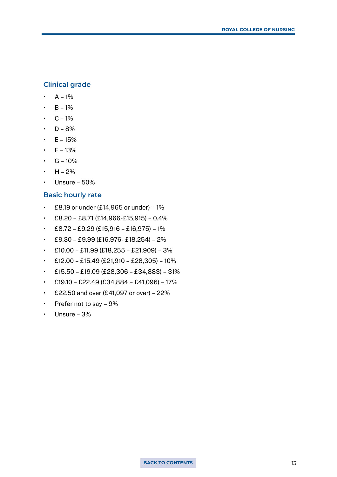#### **Clinical grade**

- $A 1\%$
- $B 1%$
- $\cdot$  C 1%
- $\cdot$  D 8%
- $E 15%$
- $F 13%$
- $G 10\%$
- $H 2\%$
- $\cdot$  Unsure 50%

#### **Basic hourly rate**

- $\cdot$  £8.19 or under (£14,965 or under) 1%
- $\cdot$  £8.20 £8.71 (£14,966-£15,915) 0.4%
- $\cdot$  £8.72 £9.29 (£15,916 £16,975) 1%
- $\cdot$  £9.30 £9.99 (£16,976- £18,254) 2%
- $\cdot$  £10.00 £11.99 (£18,255 £21,909) 3%
- £12.00 £15.49 (£21,910 £28,305) 10%
- $\cdot$  £15.50 £19.09 (£28,306 £34,883) 31%
- $\cdot$  £19.10 £22.49 (£34,884 £41,096) 17%
- £22.50 and over  $(E41,097)$  or over) 22%
- Prefer not to say  $-9\%$
- Unsure  $3%$